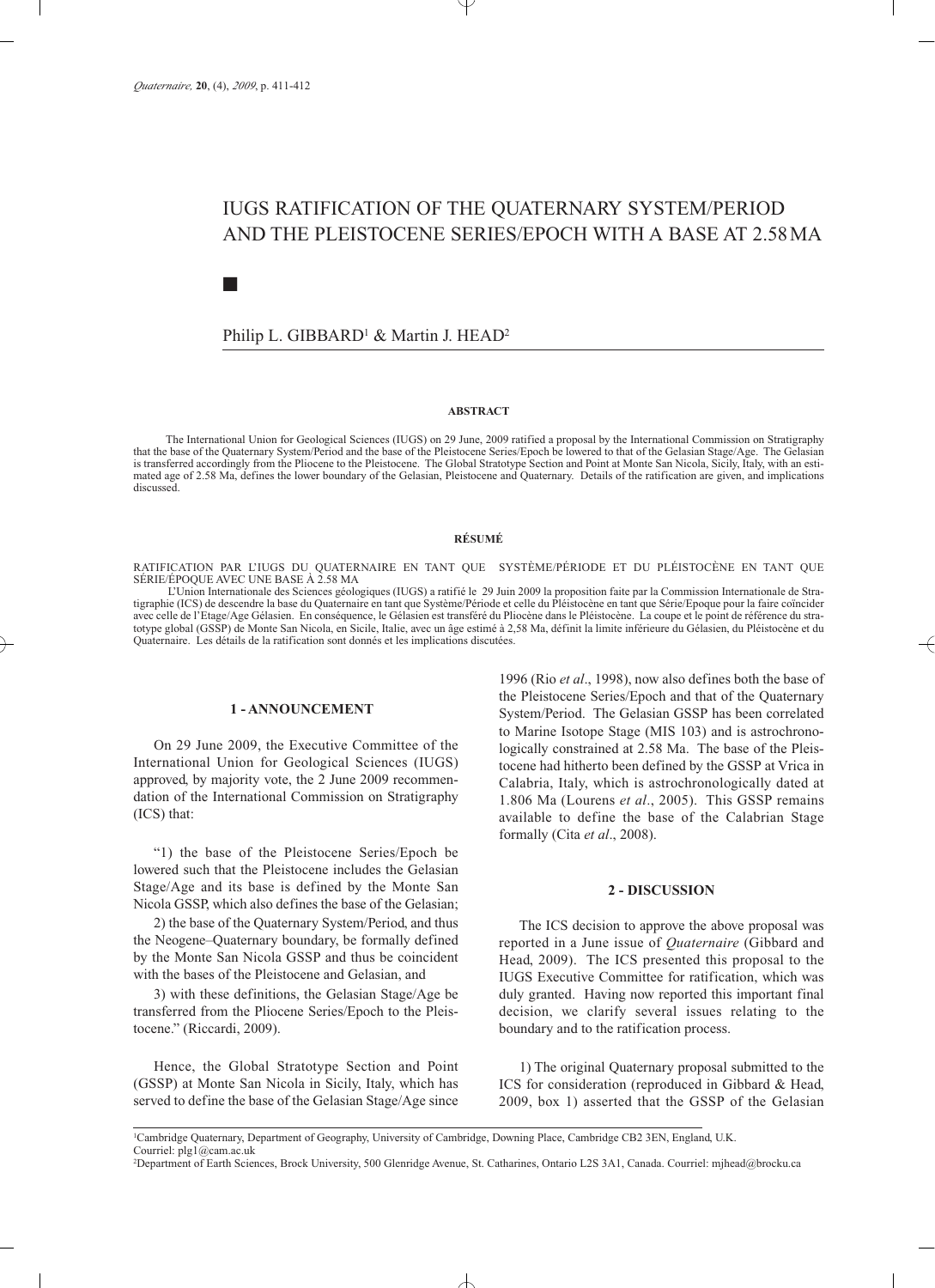■

# IUGS RATIFICATION OF THE QUATERNARY SYSTEM/PERIOD AND THE PLEISTOCENE SERIES/EPOCH WITH A BASE AT 2.58MA

# Philip L. GIBBARD<sup>1</sup> & Martin J. HEAD<sup>2</sup>

### **ABSTRACT**

The International Union for Geological Sciences (IUGS) on 29 June, 2009 ratified a proposal by the International Commission on Stratigraphy that the base of the Quaternary System/Period and the base of the Pleistocene Series/Epoch be lowered to that of the Gelasian Stage/Age. The Gelasian is transferred accordingly from the Pliocene to the Pleistocene. The Global Stratotype Section and Point at Monte San Nicola, Sicily, Italy, with an estimated age of 2.58 Ma, defines the lower boundary of the Gelasian, Pleistocene and Quaternary. Details of the ratification are given, and implications discussed.

## **RÉSUMÉ**

RATIFICATION PAR L'IUGS DU QUATERNAIRE EN TANT QUE SYSTÈME/PÉRIODE ET DU PLÉISTOCÈNE EN TANT QUE SÉRIE/ÉPOQUE AVEC UNE BASE À 2.58 MA

L'Union Internationale des Sciences géologiques (IUGS) a ratifié le 29 Juin 2009 la proposition faite par la Commission Internationale de Stratigraphie (ICS) de descendre la base du Quaternaire en tant que Système/Période et celle du Pléistocène en tant que Série/Epoque pour la faire coïncider avec celle de l'Etage/Age Gélasien. En conséquence, le Gélasien est transféré du Pliocène dans le Pléistocène. La coupe et le point de référence du stratotype global (GSSP) de Monte San Nicola, en Sicile, Italie, avec un âge estimé à 2,58 Ma, définit la limite inférieure du Gélasien, du Pléistocène et du Quaternaire. Les détails de la ratification sont donnés et les implications discutées.

## **1 - ANNOUNCEMENT**

On 29 June 2009, the Executive Committee of the International Union for Geological Sciences (IUGS) approved, by majority vote, the 2 June 2009 recommendation of the International Commission on Stratigraphy (ICS) that:

"1) the base of the Pleistocene Series/Epoch be lowered such that the Pleistocene includes the Gelasian Stage/Age and its base is defined by the Monte San Nicola GSSP, which also defines the base of the Gelasian;

2) the base of the Quaternary System/Period, and thus the Neogene–Quaternary boundary, be formally defined by the Monte San Nicola GSSP and thus be coincident with the bases of the Pleistocene and Gelasian, and

3) with these definitions, the Gelasian Stage/Age be transferred from the Pliocene Series/Epoch to the Pleistocene." (Riccardi, 2009).

Hence, the Global Stratotype Section and Point (GSSP) at Monte San Nicola in Sicily, Italy, which has served to define the base of the Gelasian Stage/Age since

1996 (Rio *et al*., 1998), now also defines both the base of the Pleistocene Series/Epoch and that of the Quaternary System/Period. The Gelasian GSSP has been correlated to Marine Isotope Stage (MIS 103) and is astrochronologically constrained at 2.58 Ma. The base of the Pleistocene had hitherto been defined by the GSSP at Vrica in Calabria, Italy, which is astrochronologically dated at 1.806 Ma (Lourens *et al*., 2005). This GSSP remains available to define the base of the Calabrian Stage formally (Cita *et al*., 2008).

#### **2 - DISCUSSION**

The ICS decision to approve the above proposal was reported in a June issue of *Quaternaire* (Gibbard and Head, 2009). The ICS presented this proposal to the IUGS Executive Committee for ratification, which was duly granted. Having now reported this important final decision, we clarify several issues relating to the boundary and to the ratification process.

1) The original Quaternary proposal submitted to the ICS for consideration (reproduced in Gibbard & Head, 2009, box 1) asserted that the GSSP of the Gelasian

<sup>1</sup>Cambridge Quaternary, Department of Geography, University of Cambridge, Downing Place, Cambridge CB2 3EN, England, U.K. Courriel: plg1@cam.ac.uk

<sup>2</sup>Department of Earth Sciences, Brock University, 500 Glenridge Avenue, St. Catharines, Ontario L2S 3A1, Canada. Courriel: mjhead@brocku.ca